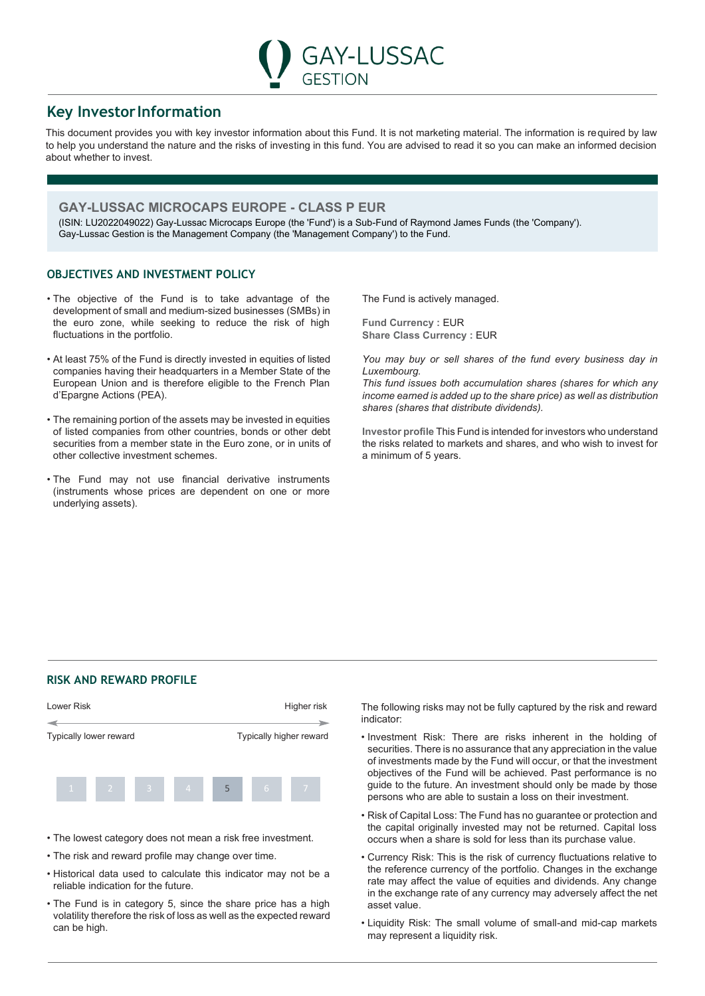# **Key InvestorInformation**

This document provides you with key investor information about this Fund. It is not marketing material. The information is required by law to help you understand the nature and the risks of investing in this fund. You are advised to read it so you can make an informed decision about whether to invest.

GESTION

**GAY-LUSSAC** 

# **GAY-LUSSAC MICROCAPS EUROPE - CLASS P EUR**

(ISIN: LU2022049022) Gay-Lussac Microcaps Europe (the 'Fund') is a Sub-Fund of Raymond James Funds (the 'Company'). Gay-Lussac Gestion is the Management Company (the 'Management Company') to the Fund.

## **OBJECTIVES AND INVESTMENT POLICY**

- The objective of the Fund is to take advantage of the development of small and medium-sized businesses (SMBs) in the euro zone, while seeking to reduce the risk of high fluctuations in the portfolio.
- At least 75% of the Fund is directly invested in equities of listed companies having their headquarters in a Member State of the European Union and is therefore eligible to the French Plan d'Epargne Actions (PEA).
- The remaining portion of the assets may be invested in equities of listed companies from other countries, bonds or other debt securities from a member state in the Euro zone, or in units of other collective investment schemes.
- The Fund may not use financial derivative instruments (instruments whose prices are dependent on one or more underlying assets).

The Fund is actively managed.

**Fund Currency :** EUR **Share Class Currency : EUR** 

*You may buy or sell shares of the fund every business day in Luxembourg.*

*This fund issues both accumulation shares (shares for which any income earned is added up to the share price) as well as distribution shares (shares that distribute dividends).*

**Investor profile** This Fund is intended for investors who understand the risks related to markets and shares, and who wish to invest for a minimum of 5 years.

## **RISK AND REWARD PROFILE**



- The lowest category does not mean a risk free investment.
- The risk and reward profile may change over time.
- Historical data used to calculate this indicator may not be a reliable indication for the future.
- The Fund is in category 5, since the share price has a high volatility therefore the risk of loss as well as the expected reward can be high.

The following risks may not be fully captured by the risk and reward indicator:

- Investment Risk: There are risks inherent in the holding of securities. There is no assurance that any appreciation in the value of investments made by the Fund will occur, or that the investment objectives of the Fund will be achieved. Past performance is no guide to the future. An investment should only be made by those persons who are able to sustain a loss on their investment.
- Risk of Capital Loss: The Fund has no guarantee or protection and the capital originally invested may not be returned. Capital loss occurs when a share is sold for less than its purchase value.
- Currency Risk: This is the risk of currency fluctuations relative to the reference currency of the portfolio. Changes in the exchange rate may affect the value of equities and dividends. Any change in the exchange rate of any currency may adversely affect the net asset value.
- Liquidity Risk: The small volume of small-and mid-cap markets may represent a liquidity risk.